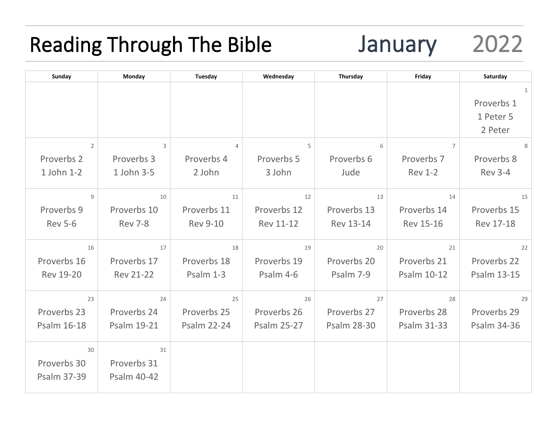## Reading Through The Bible January 2022

| Sunday           | Monday             | Tuesday            | Wednesday          | Thursday           | Friday           | Saturday           |
|------------------|--------------------|--------------------|--------------------|--------------------|------------------|--------------------|
|                  |                    |                    |                    |                    |                  | 1                  |
|                  |                    |                    |                    |                    |                  | Proverbs 1         |
|                  |                    |                    |                    |                    |                  | 1 Peter 5          |
|                  |                    |                    |                    |                    |                  | 2 Peter            |
| $\overline{2}$   | $\mathbf{3}$       | $\overline{4}$     | 5                  | 6                  | $\overline{7}$   | 8                  |
| Proverbs 2       | Proverbs 3         | Proverbs 4         | Proverbs 5         | Proverbs 6         | Proverbs 7       | Proverbs 8         |
| 1 John 1-2       | 1 John 3-5         | 2 John             | 3 John             | Jude               | <b>Rev 1-2</b>   | <b>Rev 3-4</b>     |
|                  |                    |                    |                    |                    |                  |                    |
| 9                | 10                 | 11                 | 12                 | 13                 | 14               | 15                 |
| Proverbs 9       | Proverbs 10        | Proverbs 11        | Proverbs 12        | Proverbs 13        | Proverbs 14      | Proverbs 15        |
| <b>Rev 5-6</b>   | <b>Rev 7-8</b>     | <b>Rev 9-10</b>    | <b>Rev 11-12</b>   | Rev 13-14          | <b>Rev 15-16</b> | <b>Rev 17-18</b>   |
|                  |                    |                    |                    |                    |                  |                    |
| 16               | 17                 | 18                 | 19                 | 20                 | 21               | 22                 |
| Proverbs 16      | Proverbs 17        | Proverbs 18        | Proverbs 19        | Proverbs 20        | Proverbs 21      | Proverbs 22        |
| <b>Rev 19-20</b> | <b>Rev 21-22</b>   | Psalm 1-3          | Psalm 4-6          | Psalm 7-9          | Psalm 10-12      | <b>Psalm 13-15</b> |
|                  |                    |                    |                    |                    |                  |                    |
| 23               | 24                 | 25                 | 26                 | 27                 | 28               | 29                 |
| Proverbs 23      | Proverbs 24        | Proverbs 25        | Proverbs 26        | Proverbs 27        | Proverbs 28      | Proverbs 29        |
| Psalm 16-18      | <b>Psalm 19-21</b> | <b>Psalm 22-24</b> | <b>Psalm 25-27</b> | <b>Psalm 28-30</b> | Psalm 31-33      | <b>Psalm 34-36</b> |
| 30               | 31                 |                    |                    |                    |                  |                    |
|                  |                    |                    |                    |                    |                  |                    |
| Proverbs 30      | Proverbs 31        |                    |                    |                    |                  |                    |
| Psalm 37-39      | <b>Psalm 40-42</b> |                    |                    |                    |                  |                    |
|                  |                    |                    |                    |                    |                  |                    |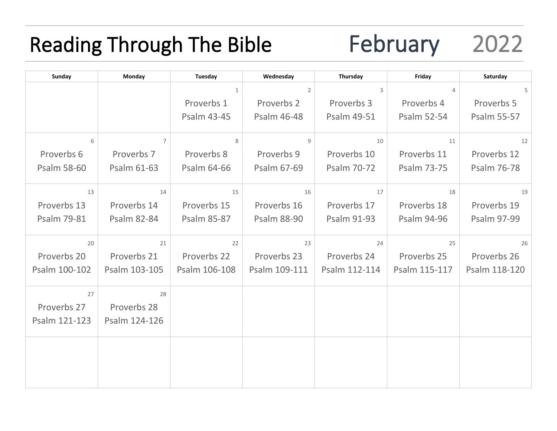# Reading Through The Bible February 2022

| Sunday        | Monday             | Tuesday            | Wednesday      | Thursday           | Friday             | Saturday           |
|---------------|--------------------|--------------------|----------------|--------------------|--------------------|--------------------|
|               |                    | $\mathbf{1}$       | $\overline{2}$ | 3                  | $\overline{4}$     | 5                  |
|               |                    | Proverbs 1         | Proverbs 2     | Proverbs 3         | Proverbs 4         | Proverbs 5         |
|               |                    | Psalm 43-45        | Psalm 46-48    | Psalm 49-51        | Psalm 52-54        | <b>Psalm 55-57</b> |
|               |                    |                    |                |                    |                    |                    |
| 6             | $\overline{7}$     | 8                  | 9              | 10                 | 11                 | 12                 |
| Proverbs 6    | Proverbs 7         | Proverbs 8         | Proverbs 9     | Proverbs 10        | Proverbs 11        | Proverbs 12        |
| Psalm 58-60   | Psalm 61-63        | Psalm 64-66        | Psalm 67-69    | Psalm 70-72        | <b>Psalm 73-75</b> | Psalm 76-78        |
|               |                    |                    |                |                    |                    |                    |
| 13            | 14                 | 15                 | 16             | 17                 | 18                 | 19                 |
| Proverbs 13   | Proverbs 14        | Proverbs 15        | Proverbs 16    | Proverbs 17        | Proverbs 18        | Proverbs 19        |
| Psalm 79-81   | <b>Psalm 82-84</b> | <b>Psalm 85-87</b> | Psalm 88-90    | <b>Psalm 91-93</b> | <b>Psalm 94-96</b> | Psalm 97-99        |
| 20            | 21                 | 22                 | 23             | 24                 | 25                 | 26                 |
|               |                    |                    |                |                    |                    |                    |
| Proverbs 20   | Proverbs 21        | Proverbs 22        | Proverbs 23    | Proverbs 24        | Proverbs 25        | Proverbs 26        |
| Psalm 100-102 | Psalm 103-105      | Psalm 106-108      | Psalm 109-111  | Psalm 112-114      | Psalm 115-117      | Psalm 118-120      |
| 27            | 28                 |                    |                |                    |                    |                    |
| Proverbs 27   | Proverbs 28        |                    |                |                    |                    |                    |
| Psalm 121-123 | Psalm 124-126      |                    |                |                    |                    |                    |
|               |                    |                    |                |                    |                    |                    |
|               |                    |                    |                |                    |                    |                    |
|               |                    |                    |                |                    |                    |                    |
|               |                    |                    |                |                    |                    |                    |
|               |                    |                    |                |                    |                    |                    |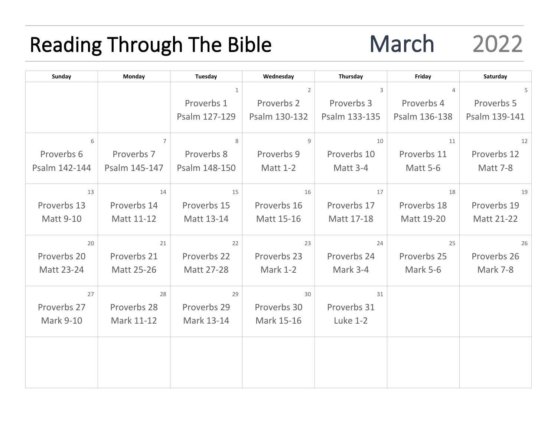### Reading Through The Bible March 2022

| Sunday           | Monday         | Tuesday       | Wednesday       | Thursday        | Friday          | Saturday        |
|------------------|----------------|---------------|-----------------|-----------------|-----------------|-----------------|
|                  |                | $\mathbf{1}$  | $\overline{2}$  | 3               | $\overline{4}$  | 5               |
|                  |                | Proverbs 1    | Proverbs 2      | Proverbs 3      | Proverbs 4      | Proverbs 5      |
|                  |                | Psalm 127-129 | Psalm 130-132   | Psalm 133-135   | Psalm 136-138   | Psalm 139-141   |
| 6                | $\overline{7}$ | 8             | 9               | 10              | 11              | 12              |
| Proverbs 6       | Proverbs 7     | Proverbs 8    | Proverbs 9      | Proverbs 10     | Proverbs 11     | Proverbs 12     |
| Psalm 142-144    | Psalm 145-147  | Psalm 148-150 | <b>Matt 1-2</b> | Matt 3-4        | <b>Matt 5-6</b> | <b>Matt 7-8</b> |
|                  |                |               |                 |                 |                 |                 |
| 13               | 14             | 15            | 16              | 17              | 18              | 19              |
| Proverbs 13      | Proverbs 14    | Proverbs 15   | Proverbs 16     | Proverbs 17     | Proverbs 18     | Proverbs 19     |
| <b>Matt 9-10</b> | Matt 11-12     | Matt 13-14    | Matt 15-16      | Matt 17-18      | Matt 19-20      | Matt 21-22      |
| 20               | 21             | 22            | 23              | 24              | 25              | 26              |
| Proverbs 20      | Proverbs 21    | Proverbs 22   | Proverbs 23     | Proverbs 24     | Proverbs 25     | Proverbs 26     |
| Matt 23-24       | Matt 25-26     | Matt 27-28    | <b>Mark 1-2</b> | Mark 3-4        | <b>Mark 5-6</b> | Mark 7-8        |
|                  |                |               |                 |                 |                 |                 |
| 27               | 28             | 29            | 30              | 31              |                 |                 |
| Proverbs 27      | Proverbs 28    | Proverbs 29   | Proverbs 30     | Proverbs 31     |                 |                 |
| <b>Mark 9-10</b> | Mark 11-12     | Mark 13-14    | Mark 15-16      | <b>Luke 1-2</b> |                 |                 |
|                  |                |               |                 |                 |                 |                 |
|                  |                |               |                 |                 |                 |                 |
|                  |                |               |                 |                 |                 |                 |
|                  |                |               |                 |                 |                 |                 |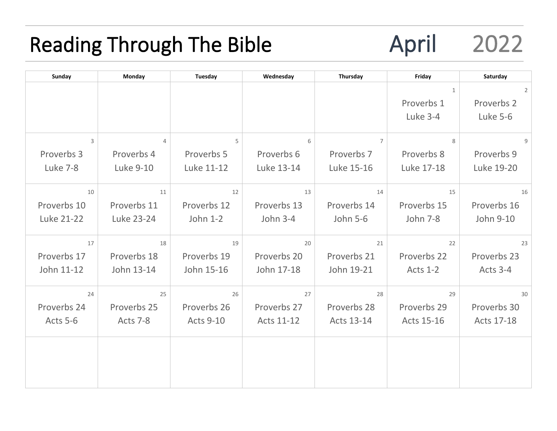### Reading Through The Bible **April** 2022

| Sunday      | Monday         | Tuesday          | Wednesday   | Thursday        | Friday          | Saturday       |
|-------------|----------------|------------------|-------------|-----------------|-----------------|----------------|
|             |                |                  |             |                 | $\mathbf{1}$    | $\overline{2}$ |
|             |                |                  |             |                 | Proverbs 1      | Proverbs 2     |
|             |                |                  |             |                 | Luke 3-4        | Luke 5-6       |
|             |                |                  |             |                 |                 |                |
| 3           | $\overline{4}$ | 5                | 6           | $\overline{7}$  | 8               | $\overline{9}$ |
| Proverbs 3  | Proverbs 4     | Proverbs 5       | Proverbs 6  | Proverbs 7      | Proverbs 8      | Proverbs 9     |
| Luke 7-8    | Luke 9-10      | Luke 11-12       | Luke 13-14  | Luke 15-16      | Luke 17-18      | Luke 19-20     |
|             |                |                  |             |                 |                 |                |
| 10          | 11             | 12               | 13          | 14              | 15              | 16             |
| Proverbs 10 | Proverbs 11    | Proverbs 12      | Proverbs 13 | Proverbs 14     | Proverbs 15     | Proverbs 16    |
| Luke 21-22  | Luke 23-24     | John 1-2         | John 3-4    | <b>John 5-6</b> | <b>John 7-8</b> | John 9-10      |
| 17          | 18             | 19               | 20          | 21              | 22              | 23             |
|             |                |                  |             |                 |                 |                |
| Proverbs 17 | Proverbs 18    | Proverbs 19      | Proverbs 20 | Proverbs 21     | Proverbs 22     | Proverbs 23    |
| John 11-12  | John 13-14     | John 15-16       | John 17-18  | John 19-21      | <b>Acts 1-2</b> | Acts 3-4       |
| 24          | 25             | 26               | 27          | 28              | 29              | 30             |
| Proverbs 24 | Proverbs 25    | Proverbs 26      | Proverbs 27 | Proverbs 28     | Proverbs 29     | Proverbs 30    |
| Acts 5-6    | Acts 7-8       | <b>Acts 9-10</b> | Acts 11-12  | Acts 13-14      | Acts 15-16      | Acts 17-18     |
|             |                |                  |             |                 |                 |                |
|             |                |                  |             |                 |                 |                |
|             |                |                  |             |                 |                 |                |
|             |                |                  |             |                 |                 |                |
|             |                |                  |             |                 |                 |                |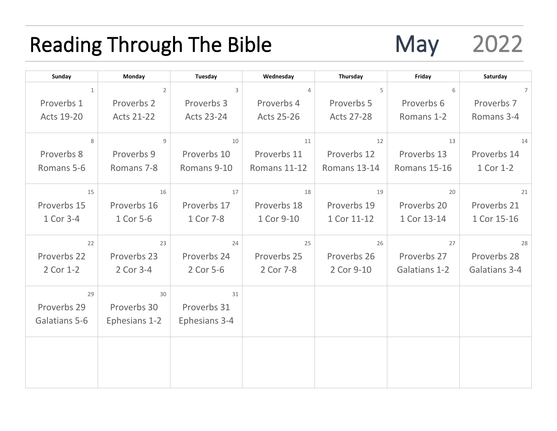#### Reading Through The Bible May 2022

| Sunday            | Monday            | Tuesday           | Wednesday         | Thursday          | Friday        | Saturday       |
|-------------------|-------------------|-------------------|-------------------|-------------------|---------------|----------------|
| $\mathbf{1}$      | $\overline{2}$    | 3                 | 4                 | 5                 | 6             | $\overline{7}$ |
| Proverbs 1        | Proverbs 2        | Proverbs 3        | Proverbs 4        | Proverbs 5        | Proverbs 6    | Proverbs 7     |
| <b>Acts 19-20</b> | <b>Acts 21-22</b> | <b>Acts 23-24</b> | <b>Acts 25-26</b> | <b>Acts 27-28</b> | Romans 1-2    | Romans 3-4     |
|                   |                   |                   |                   |                   |               |                |
| 8                 | 9                 | 10                | 11                | 12                | 13            | 14             |
| Proverbs 8        | Proverbs 9        | Proverbs 10       | Proverbs 11       | Proverbs 12       | Proverbs 13   | Proverbs 14    |
| Romans 5-6        | Romans 7-8        | Romans 9-10       | Romans 11-12      | Romans 13-14      | Romans 15-16  | 1 Cor 1-2      |
|                   |                   |                   |                   |                   |               |                |
| 15                | 16                | 17                | 18                | 19                | 20            | 21             |
| Proverbs 15       | Proverbs 16       | Proverbs 17       | Proverbs 18       | Proverbs 19       | Proverbs 20   | Proverbs 21    |
| 1 Cor 3-4         | 1 Cor 5-6         | 1 Cor 7-8         | 1 Cor 9-10        | 1 Cor 11-12       | 1 Cor 13-14   | 1 Cor 15-16    |
| 22                | 23                | 24                | 25                | 26                | 27            | 28             |
| Proverbs 22       | Proverbs 23       | Proverbs 24       | Proverbs 25       | Proverbs 26       | Proverbs 27   | Proverbs 28    |
| 2 Cor 1-2         | 2 Cor 3-4         | 2 Cor 5-6         | 2 Cor 7-8         | 2 Cor 9-10        | Galatians 1-2 | Galatians 3-4  |
|                   |                   |                   |                   |                   |               |                |
| 29                | 30                | 31                |                   |                   |               |                |
| Proverbs 29       | Proverbs 30       | Proverbs 31       |                   |                   |               |                |
| Galatians 5-6     | Ephesians 1-2     | Ephesians 3-4     |                   |                   |               |                |
|                   |                   |                   |                   |                   |               |                |
|                   |                   |                   |                   |                   |               |                |
|                   |                   |                   |                   |                   |               |                |
|                   |                   |                   |                   |                   |               |                |
|                   |                   |                   |                   |                   |               |                |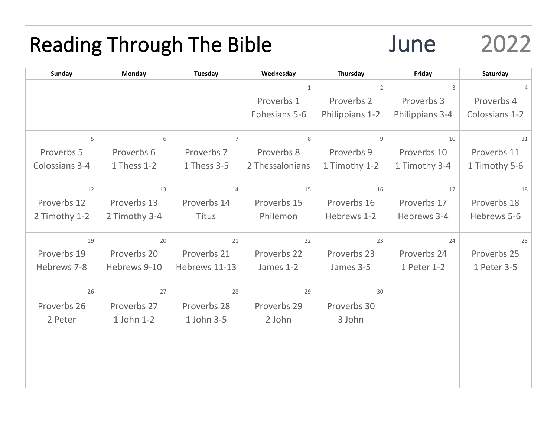#### Reading Through The Bible June 2022

| <b>Sunday</b>  | <b>Monday</b> | Tuesday        | Wednesday       | Thursday        | Friday          | Saturday       |
|----------------|---------------|----------------|-----------------|-----------------|-----------------|----------------|
|                |               |                | $\mathbf{1}$    | $\overline{2}$  | 3               | 4              |
|                |               |                | Proverbs 1      | Proverbs 2      | Proverbs 3      | Proverbs 4     |
|                |               |                | Ephesians 5-6   | Philippians 1-2 | Philippians 3-4 | Colossians 1-2 |
| 5              | 6             | $\overline{7}$ | 8               | 9               | 10              | 11             |
| Proverbs 5     | Proverbs 6    | Proverbs 7     | Proverbs 8      | Proverbs 9      | Proverbs 10     | Proverbs 11    |
| Colossians 3-4 | 1 Thess 1-2   | 1 Thess 3-5    | 2 Thessalonians | 1 Timothy 1-2   | 1 Timothy 3-4   | 1 Timothy 5-6  |
| 12             | 13            | 14             | 15              | 16              | 17              | 18             |
| Proverbs 12    | Proverbs 13   | Proverbs 14    | Proverbs 15     | Proverbs 16     | Proverbs 17     | Proverbs 18    |
| 2 Timothy 1-2  | 2 Timothy 3-4 | <b>Titus</b>   | Philemon        | Hebrews 1-2     | Hebrews 3-4     | Hebrews 5-6    |
| 19             | 20            | 21             | 22              | 23              | 24              | 25             |
| Proverbs 19    | Proverbs 20   | Proverbs 21    | Proverbs 22     | Proverbs 23     | Proverbs 24     | Proverbs 25    |
| Hebrews 7-8    | Hebrews 9-10  | Hebrews 11-13  | James 1-2       | James 3-5       | 1 Peter 1-2     | 1 Peter 3-5    |
| 26             | 27            | 28             | 29              | 30              |                 |                |
| Proverbs 26    | Proverbs 27   | Proverbs 28    | Proverbs 29     | Proverbs 30     |                 |                |
| 2 Peter        | 1 John 1-2    | 1 John 3-5     | 2 John          | 3 John          |                 |                |
|                |               |                |                 |                 |                 |                |
|                |               |                |                 |                 |                 |                |
|                |               |                |                 |                 |                 |                |
|                |               |                |                 |                 |                 |                |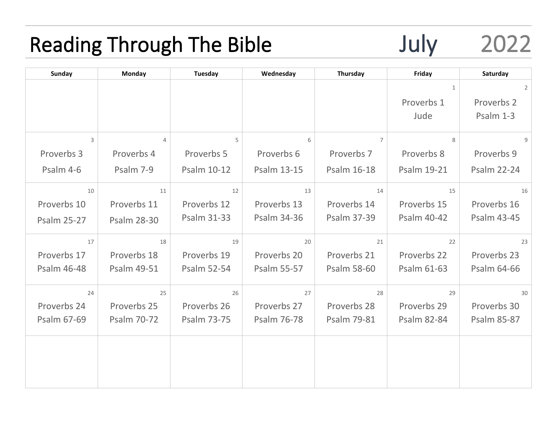## Reading Through The Bible 50 July 2022

| <b>Sunday</b>      | <b>Monday</b>      | <b>Tuesday</b>     | Wednesday          | Thursday           | Friday             | Saturday           |
|--------------------|--------------------|--------------------|--------------------|--------------------|--------------------|--------------------|
|                    |                    |                    |                    |                    | $\mathbf{1}$       | $\overline{2}$     |
|                    |                    |                    |                    |                    | Proverbs 1         | Proverbs 2         |
|                    |                    |                    |                    |                    | Jude               | Psalm 1-3          |
|                    |                    |                    |                    |                    |                    |                    |
| 3                  | $\overline{4}$     | 5                  | 6                  | $\overline{7}$     | 8                  | $\overline{9}$     |
| Proverbs 3         | Proverbs 4         | Proverbs 5         | Proverbs 6         | Proverbs 7         | Proverbs 8         | Proverbs 9         |
| Psalm 4-6          | Psalm 7-9          | Psalm 10-12        | <b>Psalm 13-15</b> | Psalm 16-18        | Psalm 19-21        | <b>Psalm 22-24</b> |
| 10                 | 11                 | 12                 | 13                 | 14                 | 15                 | 16                 |
| Proverbs 10        | Proverbs 11        | Proverbs 12        | Proverbs 13        | Proverbs 14        | Proverbs 15        | Proverbs 16        |
| <b>Psalm 25-27</b> | <b>Psalm 28-30</b> | <b>Psalm 31-33</b> | <b>Psalm 34-36</b> | Psalm 37-39        | Psalm 40-42        | <b>Psalm 43-45</b> |
| 17                 | 18                 | 19                 | 20                 | 21                 | 22                 | 23                 |
| Proverbs 17        | Proverbs 18        | Proverbs 19        | Proverbs 20        | Proverbs 21        | Proverbs 22        | Proverbs 23        |
| Psalm 46-48        | Psalm 49-51        | <b>Psalm 52-54</b> | <b>Psalm 55-57</b> | <b>Psalm 58-60</b> | Psalm 61-63        | Psalm 64-66        |
| 24                 | 25                 | 26                 | 27                 | 28                 | 29                 | 30                 |
| Proverbs 24        | Proverbs 25        | Proverbs 26        | Proverbs 27        | Proverbs 28        | Proverbs 29        | Proverbs 30        |
| Psalm 67-69        | Psalm 70-72        | <b>Psalm 73-75</b> | Psalm 76-78        | Psalm 79-81        | <b>Psalm 82-84</b> | <b>Psalm 85-87</b> |
|                    |                    |                    |                    |                    |                    |                    |
|                    |                    |                    |                    |                    |                    |                    |
|                    |                    |                    |                    |                    |                    |                    |
|                    |                    |                    |                    |                    |                    |                    |
|                    |                    |                    |                    |                    |                    |                    |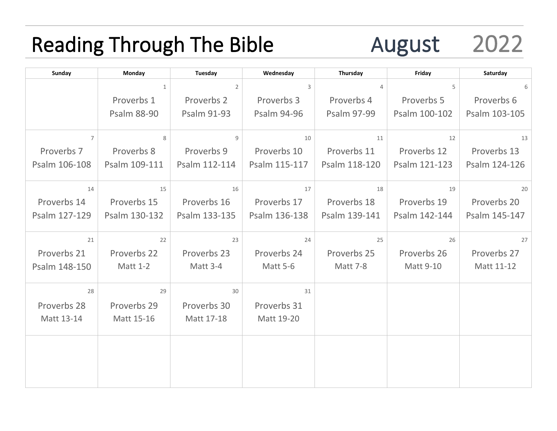# Reading Through The Bible **August** 2022

| Sunday         | Monday             | Tuesday            | Wednesday       | Thursday           | Friday           | Saturday      |
|----------------|--------------------|--------------------|-----------------|--------------------|------------------|---------------|
|                | 1                  | $\overline{2}$     | 3               | $\overline{4}$     | 5                | 6             |
|                | Proverbs 1         | Proverbs 2         | Proverbs 3      | Proverbs 4         | Proverbs 5       | Proverbs 6    |
|                | <b>Psalm 88-90</b> | <b>Psalm 91-93</b> | Psalm 94-96     | <b>Psalm 97-99</b> | Psalm 100-102    | Psalm 103-105 |
| $\overline{7}$ | 8                  | 9                  | 10              | 11                 | 12               | 13            |
| Proverbs 7     | Proverbs 8         | Proverbs 9         | Proverbs 10     | Proverbs 11        | Proverbs 12      | Proverbs 13   |
| Psalm 106-108  | Psalm 109-111      | Psalm 112-114      | Psalm 115-117   | Psalm 118-120      | Psalm 121-123    | Psalm 124-126 |
| 14             | 15                 | 16                 | 17              | 18                 | 19               | 20            |
| Proverbs 14    | Proverbs 15        | Proverbs 16        | Proverbs 17     | Proverbs 18        | Proverbs 19      | Proverbs 20   |
| Psalm 127-129  | Psalm 130-132      | Psalm 133-135      | Psalm 136-138   | Psalm 139-141      | Psalm 142-144    | Psalm 145-147 |
| 21             | 22                 | 23                 | 24              | 25                 | 26               | 27            |
| Proverbs 21    | Proverbs 22        | Proverbs 23        | Proverbs 24     | Proverbs 25        | Proverbs 26      | Proverbs 27   |
| Psalm 148-150  | <b>Matt 1-2</b>    | <b>Matt 3-4</b>    | <b>Matt 5-6</b> | <b>Matt 7-8</b>    | <b>Matt 9-10</b> | Matt 11-12    |
| 28             | 29                 | 30                 | 31              |                    |                  |               |
| Proverbs 28    | Proverbs 29        | Proverbs 30        | Proverbs 31     |                    |                  |               |
| Matt 13-14     | Matt 15-16         | Matt 17-18         | Matt 19-20      |                    |                  |               |
|                |                    |                    |                 |                    |                  |               |
|                |                    |                    |                 |                    |                  |               |
|                |                    |                    |                 |                    |                  |               |
|                |                    |                    |                 |                    |                  |               |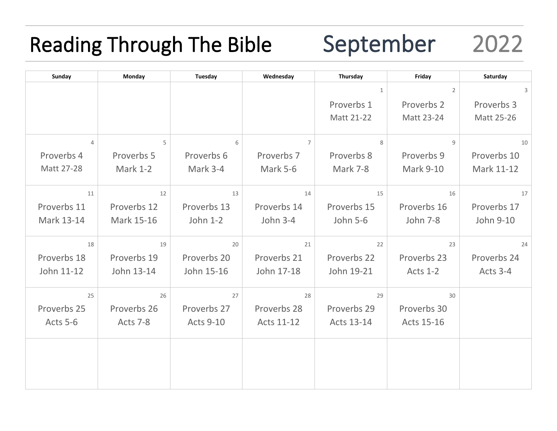## Reading Through The Bible September 2022

| Sunday         | Monday          | Tuesday          | Wednesday       | Thursday        | Friday           | Saturday    |
|----------------|-----------------|------------------|-----------------|-----------------|------------------|-------------|
|                |                 |                  |                 | $\mathbf{1}$    | $\overline{2}$   | 3           |
|                |                 |                  |                 | Proverbs 1      | Proverbs 2       | Proverbs 3  |
|                |                 |                  |                 | Matt 21-22      | Matt 23-24       | Matt 25-26  |
|                |                 |                  |                 |                 |                  |             |
| $\overline{4}$ | 5               | 6                | $\overline{7}$  | 8               | 9                | 10          |
| Proverbs 4     | Proverbs 5      | Proverbs 6       | Proverbs 7      | Proverbs 8      | Proverbs 9       | Proverbs 10 |
| Matt 27-28     | <b>Mark 1-2</b> | Mark 3-4         | <b>Mark 5-6</b> | <b>Mark 7-8</b> | <b>Mark 9-10</b> | Mark 11-12  |
|                |                 |                  |                 |                 |                  |             |
| 11             | 12              | 13               | 14              | 15              | 16               | 17          |
| Proverbs 11    | Proverbs 12     | Proverbs 13      | Proverbs 14     | Proverbs 15     | Proverbs 16      | Proverbs 17 |
| Mark 13-14     | Mark 15-16      | John 1-2         | <b>John 3-4</b> | <b>John 5-6</b> | John 7-8         | John 9-10   |
|                |                 |                  |                 |                 |                  |             |
| 18             | 19              | 20               | 21              | 22              | 23               | 24          |
| Proverbs 18    | Proverbs 19     | Proverbs 20      | Proverbs 21     | Proverbs 22     | Proverbs 23      | Proverbs 24 |
| John 11-12     | John 13-14      | John 15-16       | John 17-18      | John 19-21      | <b>Acts 1-2</b>  | Acts 3-4    |
| 25             | 26              | 27               | 28              | 29              | 30               |             |
| Proverbs 25    | Proverbs 26     | Proverbs 27      | Proverbs 28     | Proverbs 29     | Proverbs 30      |             |
| Acts 5-6       | Acts 7-8        | <b>Acts 9-10</b> | Acts 11-12      | Acts 13-14      | Acts 15-16       |             |
|                |                 |                  |                 |                 |                  |             |
|                |                 |                  |                 |                 |                  |             |
|                |                 |                  |                 |                 |                  |             |
|                |                 |                  |                 |                 |                  |             |
|                |                 |                  |                 |                 |                  |             |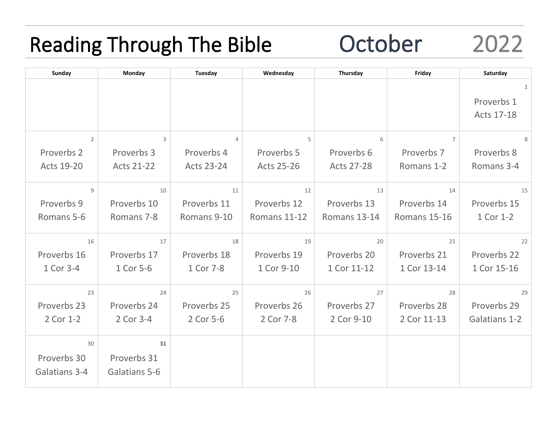## Reading Through The Bible **October** 2022

| <b>Sunday</b>  | Monday            | Tuesday        | Wednesday         | Thursday          | Friday         | Saturday      |
|----------------|-------------------|----------------|-------------------|-------------------|----------------|---------------|
|                |                   |                |                   |                   |                | $\mathbf{1}$  |
|                |                   |                |                   |                   |                | Proverbs 1    |
|                |                   |                |                   |                   |                | Acts 17-18    |
|                |                   |                |                   |                   |                |               |
| $\overline{2}$ | $\overline{3}$    | $\overline{4}$ | 5                 | 6                 | $\overline{7}$ | 8             |
| Proverbs 2     | Proverbs 3        | Proverbs 4     | Proverbs 5        | Proverbs 6        | Proverbs 7     | Proverbs 8    |
| Acts 19-20     | <b>Acts 21-22</b> | Acts 23-24     | <b>Acts 25-26</b> | <b>Acts 27-28</b> | Romans 1-2     | Romans 3-4    |
|                |                   |                |                   |                   |                |               |
| 9              | 10                | 11             | 12                | 13                | 14             | 15            |
| Proverbs 9     | Proverbs 10       | Proverbs 11    | Proverbs 12       | Proverbs 13       | Proverbs 14    | Proverbs 15   |
| Romans 5-6     | Romans 7-8        | Romans 9-10    | Romans 11-12      | Romans 13-14      | Romans 15-16   | 1 Cor 1-2     |
|                |                   |                |                   |                   |                |               |
| 16             | 17                | 18             | 19                | 20                | 21             | 22            |
| Proverbs 16    | Proverbs 17       | Proverbs 18    | Proverbs 19       | Proverbs 20       | Proverbs 21    | Proverbs 22   |
| 1 Cor 3-4      | 1 Cor 5-6         | 1 Cor 7-8      | 1 Cor 9-10        | 1 Cor 11-12       | 1 Cor 13-14    | 1 Cor 15-16   |
|                |                   |                |                   |                   |                |               |
| 23             | 24                | 25             | 26                | 27                | 28             | 29            |
| Proverbs 23    | Proverbs 24       | Proverbs 25    | Proverbs 26       | Proverbs 27       | Proverbs 28    | Proverbs 29   |
| 2 Cor 1-2      | 2 Cor 3-4         | 2 Cor 5-6      | 2 Cor 7-8         | 2 Cor 9-10        | 2 Cor 11-13    | Galatians 1-2 |
| 30             | 31                |                |                   |                   |                |               |
|                |                   |                |                   |                   |                |               |
| Proverbs 30    | Proverbs 31       |                |                   |                   |                |               |
| Galatians 3-4  | Galatians 5-6     |                |                   |                   |                |               |
|                |                   |                |                   |                   |                |               |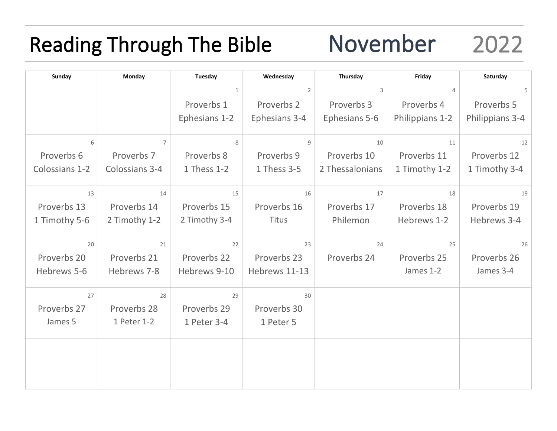# Reading Through The Bible Movember 2022

| Sunday         | Monday         | Tuesday       | Wednesday      | Thursday        | Friday          | Saturday        |
|----------------|----------------|---------------|----------------|-----------------|-----------------|-----------------|
|                |                | $\mathbf{1}$  | $\overline{2}$ | 3               | $\overline{4}$  | 5               |
|                |                | Proverbs 1    | Proverbs 2     | Proverbs 3      | Proverbs 4      | Proverbs 5      |
|                |                | Ephesians 1-2 | Ephesians 3-4  | Ephesians 5-6   | Philippians 1-2 | Philippians 3-4 |
| 6              | $\overline{7}$ | 8             | 9              | 10              | 11              | 12              |
| Proverbs 6     | Proverbs 7     | Proverbs 8    | Proverbs 9     | Proverbs 10     | Proverbs 11     | Proverbs 12     |
| Colossians 1-2 | Colossians 3-4 | 1 Thess 1-2   | 1 Thess 3-5    | 2 Thessalonians | 1 Timothy 1-2   | 1 Timothy 3-4   |
| 13             | 14             | 15            | 16             | 17              | 18              | 19              |
| Proverbs 13    | Proverbs 14    | Proverbs 15   | Proverbs 16    | Proverbs 17     | Proverbs 18     | Proverbs 19     |
| 1 Timothy 5-6  | 2 Timothy 1-2  | 2 Timothy 3-4 | <b>Titus</b>   | Philemon        | Hebrews 1-2     | Hebrews 3-4     |
| 20             | 21             | 22            | 23             | 24              | 25              | 26              |
| Proverbs 20    | Proverbs 21    | Proverbs 22   | Proverbs 23    | Proverbs 24     | Proverbs 25     | Proverbs 26     |
| Hebrews 5-6    | Hebrews 7-8    | Hebrews 9-10  | Hebrews 11-13  |                 | James 1-2       | James 3-4       |
| 27             | 28             | 29            | 30             |                 |                 |                 |
| Proverbs 27    | Proverbs 28    | Proverbs 29   | Proverbs 30    |                 |                 |                 |
| James 5        | 1 Peter 1-2    | 1 Peter 3-4   | 1 Peter 5      |                 |                 |                 |
|                |                |               |                |                 |                 |                 |
|                |                |               |                |                 |                 |                 |
|                |                |               |                |                 |                 |                 |
|                |                |               |                |                 |                 |                 |